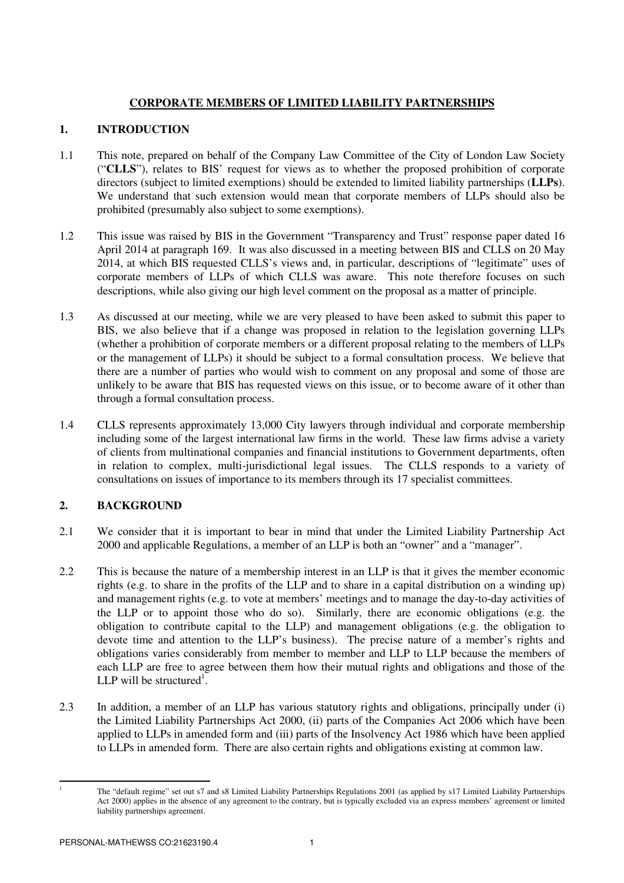# **CORPORATE MEMBERS OF LIMITED LIABILITY PARTNERSHIPS**

# **1. INTRODUCTION**

- 1.1 This note, prepared on behalf of the Company Law Committee of the City of London Law Society ("**CLLS**"), relates to BIS' request for views as to whether the proposed prohibition of corporate directors (subject to limited exemptions) should be extended to limited liability partnerships (**LLPs**). We understand that such extension would mean that corporate members of LLPs should also be prohibited (presumably also subject to some exemptions).
- 1.2 This issue was raised by BIS in the Government "Transparency and Trust" response paper dated 16 April 2014 at paragraph 169. It was also discussed in a meeting between BIS and CLLS on 20 May 2014, at which BIS requested CLLS's views and, in particular, descriptions of "legitimate" uses of corporate members of LLPs of which CLLS was aware. This note therefore focuses on such descriptions, while also giving our high level comment on the proposal as a matter of principle.
- 1.3 As discussed at our meeting, while we are very pleased to have been asked to submit this paper to BIS, we also believe that if a change was proposed in relation to the legislation governing LLPs (whether a prohibition of corporate members or a different proposal relating to the members of LLPs or the management of LLPs) it should be subject to a formal consultation process. We believe that there are a number of parties who would wish to comment on any proposal and some of those are unlikely to be aware that BIS has requested views on this issue, or to become aware of it other than through a formal consultation process.
- 1.4 CLLS represents approximately 13,000 City lawyers through individual and corporate membership including some of the largest international law firms in the world. These law firms advise a variety of clients from multinational companies and financial institutions to Government departments, often in relation to complex, multi-jurisdictional legal issues. The CLLS responds to a variety of consultations on issues of importance to its members through its 17 specialist committees.

# **2. BACKGROUND**

- 2.1 We consider that it is important to bear in mind that under the Limited Liability Partnership Act 2000 and applicable Regulations, a member of an LLP is both an "owner" and a "manager".
- 2.2 This is because the nature of a membership interest in an LLP is that it gives the member economic rights (e.g. to share in the profits of the LLP and to share in a capital distribution on a winding up) and management rights (e.g. to vote at members' meetings and to manage the day-to-day activities of the LLP or to appoint those who do so). Similarly, there are economic obligations (e.g. the obligation to contribute capital to the LLP) and management obligations (e.g. the obligation to devote time and attention to the LLP's business). The precise nature of a member's rights and obligations varies considerably from member to member and LLP to LLP because the members of each LLP are free to agree between them how their mutual rights and obligations and those of the LLP will be structured<sup>1</sup>.
- 2.3 In addition, a member of an LLP has various statutory rights and obligations, principally under (i) the Limited Liability Partnerships Act 2000, (ii) parts of the Companies Act 2006 which have been applied to LLPs in amended form and (iii) parts of the Insolvency Act 1986 which have been applied to LLPs in amended form. There are also certain rights and obligations existing at common law.

 $\overline{a}$ 1

The "default regime" set out s7 and s8 Limited Liability Partnerships Regulations 2001 (as applied by s17 Limited Liability Partnerships Act 2000) applies in the absence of any agreement to the contrary, but is typically excluded via an express members' agreement or limited liability partnerships agreement.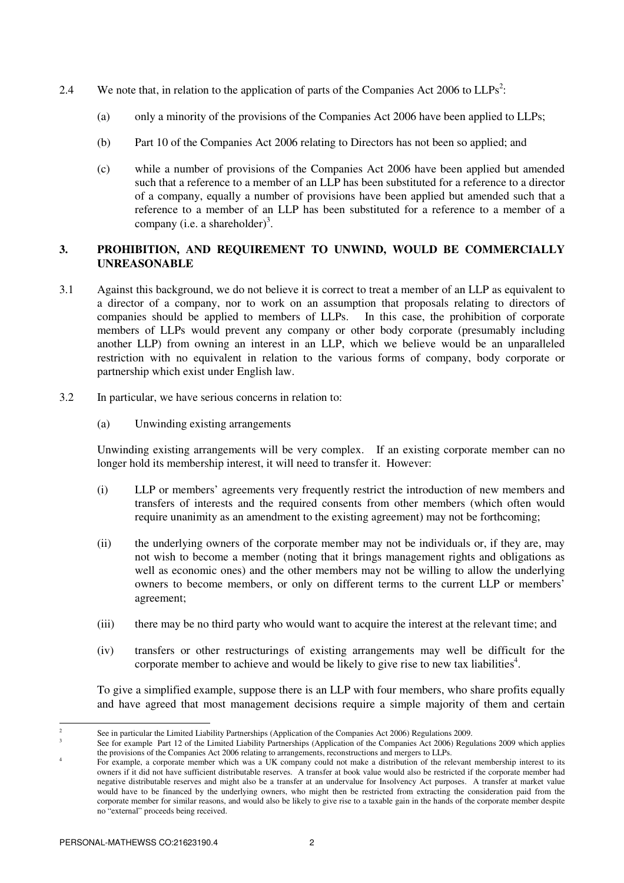- 2.4 We note that, in relation to the application of parts of the Companies Act 2006 to  $LLPs^2$ :
	- (a) only a minority of the provisions of the Companies Act 2006 have been applied to LLPs;
	- (b) Part 10 of the Companies Act 2006 relating to Directors has not been so applied; and
	- (c) while a number of provisions of the Companies Act 2006 have been applied but amended such that a reference to a member of an LLP has been substituted for a reference to a director of a company, equally a number of provisions have been applied but amended such that a reference to a member of an LLP has been substituted for a reference to a member of a company (i.e. a shareholder)<sup>3</sup>.

## **3. PROHIBITION, AND REQUIREMENT TO UNWIND, WOULD BE COMMERCIALLY UNREASONABLE**

- 3.1 Against this background, we do not believe it is correct to treat a member of an LLP as equivalent to a director of a company, nor to work on an assumption that proposals relating to directors of companies should be applied to members of LLPs. In this case, the prohibition of corporate members of LLPs would prevent any company or other body corporate (presumably including another LLP) from owning an interest in an LLP, which we believe would be an unparalleled restriction with no equivalent in relation to the various forms of company, body corporate or partnership which exist under English law.
- 3.2 In particular, we have serious concerns in relation to:
	- (a) Unwinding existing arrangements

Unwinding existing arrangements will be very complex. If an existing corporate member can no longer hold its membership interest, it will need to transfer it. However:

- (i) LLP or members' agreements very frequently restrict the introduction of new members and transfers of interests and the required consents from other members (which often would require unanimity as an amendment to the existing agreement) may not be forthcoming;
- (ii) the underlying owners of the corporate member may not be individuals or, if they are, may not wish to become a member (noting that it brings management rights and obligations as well as economic ones) and the other members may not be willing to allow the underlying owners to become members, or only on different terms to the current LLP or members' agreement;
- (iii) there may be no third party who would want to acquire the interest at the relevant time; and
- (iv) transfers or other restructurings of existing arrangements may well be difficult for the corporate member to achieve and would be likely to give rise to new tax liabilities<sup>4</sup>.

To give a simplified example, suppose there is an LLP with four members, who share profits equally and have agreed that most management decisions require a simple majority of them and certain

 $\frac{1}{2}$ 

See in particular the Limited Liability Partnerships (Application of the Companies Act 2006) Regulations 2009.

<sup>3</sup> See for example Part 12 of the Limited Liability Partnerships (Application of the Companies Act 2006) Regulations 2009 which applies the provisions of the Companies Act 2006 relating to arrangements, reconstructions and mergers to LLPs.

<sup>4</sup> For example, a corporate member which was a UK company could not make a distribution of the relevant membership interest to its owners if it did not have sufficient distributable reserves. A transfer at book value would also be restricted if the corporate member had negative distributable reserves and might also be a transfer at an undervalue for Insolvency Act purposes. A transfer at market value would have to be financed by the underlying owners, who might then be restricted from extracting the consideration paid from the corporate member for similar reasons, and would also be likely to give rise to a taxable gain in the hands of the corporate member despite no "external" proceeds being received.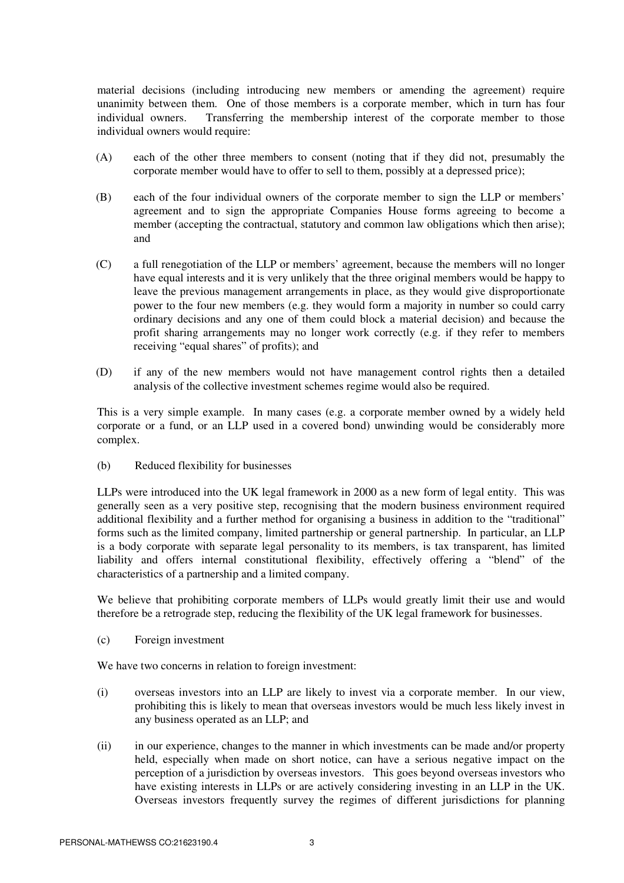material decisions (including introducing new members or amending the agreement) require unanimity between them. One of those members is a corporate member, which in turn has four individual owners. Transferring the membership interest of the corporate member to those individual owners would require:

- (A) each of the other three members to consent (noting that if they did not, presumably the corporate member would have to offer to sell to them, possibly at a depressed price);
- (B) each of the four individual owners of the corporate member to sign the LLP or members' agreement and to sign the appropriate Companies House forms agreeing to become a member (accepting the contractual, statutory and common law obligations which then arise); and
- (C) a full renegotiation of the LLP or members' agreement, because the members will no longer have equal interests and it is very unlikely that the three original members would be happy to leave the previous management arrangements in place, as they would give disproportionate power to the four new members (e.g. they would form a majority in number so could carry ordinary decisions and any one of them could block a material decision) and because the profit sharing arrangements may no longer work correctly (e.g. if they refer to members receiving "equal shares" of profits); and
- (D) if any of the new members would not have management control rights then a detailed analysis of the collective investment schemes regime would also be required.

This is a very simple example. In many cases (e.g. a corporate member owned by a widely held corporate or a fund, or an LLP used in a covered bond) unwinding would be considerably more complex.

(b) Reduced flexibility for businesses

LLPs were introduced into the UK legal framework in 2000 as a new form of legal entity. This was generally seen as a very positive step, recognising that the modern business environment required additional flexibility and a further method for organising a business in addition to the "traditional" forms such as the limited company, limited partnership or general partnership. In particular, an LLP is a body corporate with separate legal personality to its members, is tax transparent, has limited liability and offers internal constitutional flexibility, effectively offering a "blend" of the characteristics of a partnership and a limited company.

We believe that prohibiting corporate members of LLPs would greatly limit their use and would therefore be a retrograde step, reducing the flexibility of the UK legal framework for businesses.

(c) Foreign investment

We have two concerns in relation to foreign investment:

- (i) overseas investors into an LLP are likely to invest via a corporate member. In our view, prohibiting this is likely to mean that overseas investors would be much less likely invest in any business operated as an LLP; and
- (ii) in our experience, changes to the manner in which investments can be made and/or property held, especially when made on short notice, can have a serious negative impact on the perception of a jurisdiction by overseas investors. This goes beyond overseas investors who have existing interests in LLPs or are actively considering investing in an LLP in the UK. Overseas investors frequently survey the regimes of different jurisdictions for planning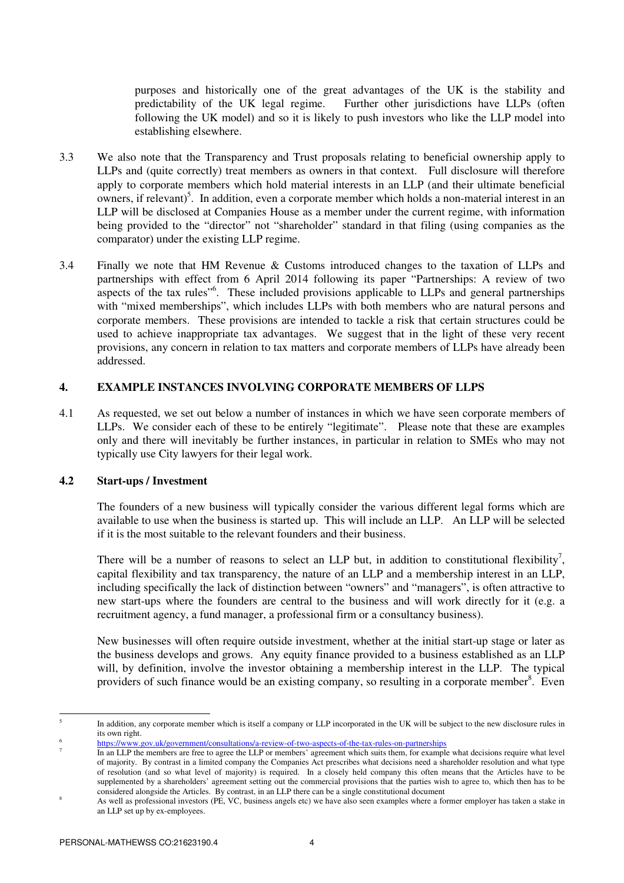purposes and historically one of the great advantages of the UK is the stability and predictability of the UK legal regime. Further other jurisdictions have LLPs (often following the UK model) and so it is likely to push investors who like the LLP model into establishing elsewhere.

- 3.3 We also note that the Transparency and Trust proposals relating to beneficial ownership apply to LLPs and (quite correctly) treat members as owners in that context. Full disclosure will therefore apply to corporate members which hold material interests in an LLP (and their ultimate beneficial owners, if relevant)<sup>5</sup>. In addition, even a corporate member which holds a non-material interest in an LLP will be disclosed at Companies House as a member under the current regime, with information being provided to the "director" not "shareholder" standard in that filing (using companies as the comparator) under the existing LLP regime.
- 3.4 Finally we note that HM Revenue & Customs introduced changes to the taxation of LLPs and partnerships with effect from 6 April 2014 following its paper "Partnerships: A review of two aspects of the tax rules"<sup>6</sup>. These included provisions applicable to LLPs and general partnerships with "mixed memberships", which includes LLPs with both members who are natural persons and corporate members. These provisions are intended to tackle a risk that certain structures could be used to achieve inappropriate tax advantages. We suggest that in the light of these very recent provisions, any concern in relation to tax matters and corporate members of LLPs have already been addressed.

### **4. EXAMPLE INSTANCES INVOLVING CORPORATE MEMBERS OF LLPS**

4.1 As requested, we set out below a number of instances in which we have seen corporate members of LLPs. We consider each of these to be entirely "legitimate". Please note that these are examples only and there will inevitably be further instances, in particular in relation to SMEs who may not typically use City lawyers for their legal work.

### **4.2 Start-ups / Investment**

The founders of a new business will typically consider the various different legal forms which are available to use when the business is started up. This will include an LLP. An LLP will be selected if it is the most suitable to the relevant founders and their business.

There will be a number of reasons to select an LLP but, in addition to constitutional flexibility<sup>7</sup>, capital flexibility and tax transparency, the nature of an LLP and a membership interest in an LLP, including specifically the lack of distinction between "owners" and "managers", is often attractive to new start-ups where the founders are central to the business and will work directly for it (e.g. a recruitment agency, a fund manager, a professional firm or a consultancy business).

New businesses will often require outside investment, whether at the initial start-up stage or later as the business develops and grows. Any equity finance provided to a business established as an LLP will, by definition, involve the investor obtaining a membership interest in the LLP. The typical providers of such finance would be an existing company, so resulting in a corporate member<sup>8</sup>. Even

 5 In addition, any corporate member which is itself a company or LLP incorporated in the UK will be subject to the new disclosure rules in its own right.

<sup>6</sup> https://www.gov.uk/government/consultations/a-review-of-two-aspects-of-the-tax-rules-on-partnerships

<sup>7</sup> In an LLP the members are free to agree the LLP or members' agreement which suits them, for example what decisions require what level of majority. By contrast in a limited company the Companies Act prescribes what decisions need a shareholder resolution and what type of resolution (and so what level of majority) is required. In a closely held company this often means that the Articles have to be supplemented by a shareholders' agreement setting out the commercial provisions that the parties wish to agree to, which then has to be considered alongside the Articles. By contrast, in an LLP there can be a single constitutional document

<sup>8</sup> As well as professional investors (PE, VC, business angels etc) we have also seen examples where a former employer has taken a stake in an LLP set up by ex-employees.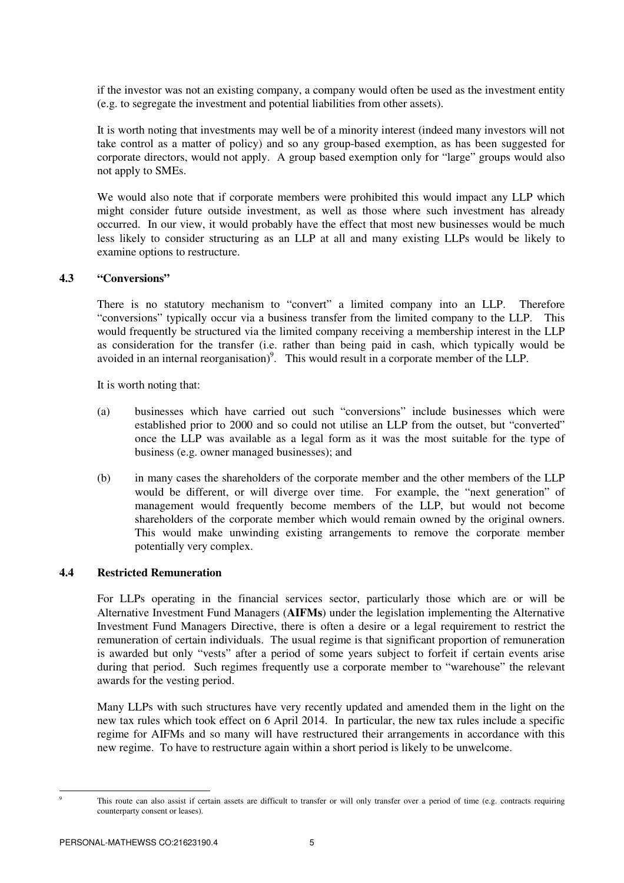if the investor was not an existing company, a company would often be used as the investment entity (e.g. to segregate the investment and potential liabilities from other assets).

It is worth noting that investments may well be of a minority interest (indeed many investors will not take control as a matter of policy) and so any group-based exemption, as has been suggested for corporate directors, would not apply. A group based exemption only for "large" groups would also not apply to SMEs.

We would also note that if corporate members were prohibited this would impact any LLP which might consider future outside investment, as well as those where such investment has already occurred. In our view, it would probably have the effect that most new businesses would be much less likely to consider structuring as an LLP at all and many existing LLPs would be likely to examine options to restructure.

#### **4.3 "Conversions"**

There is no statutory mechanism to "convert" a limited company into an LLP. Therefore "conversions" typically occur via a business transfer from the limited company to the LLP. This would frequently be structured via the limited company receiving a membership interest in the LLP as consideration for the transfer (i.e. rather than being paid in cash, which typically would be avoided in an internal reorganisation)<sup>9</sup>. This would result in a corporate member of the LLP.

It is worth noting that:

- (a) businesses which have carried out such "conversions" include businesses which were established prior to 2000 and so could not utilise an LLP from the outset, but "converted" once the LLP was available as a legal form as it was the most suitable for the type of business (e.g. owner managed businesses); and
- (b) in many cases the shareholders of the corporate member and the other members of the LLP would be different, or will diverge over time. For example, the "next generation" of management would frequently become members of the LLP, but would not become shareholders of the corporate member which would remain owned by the original owners. This would make unwinding existing arrangements to remove the corporate member potentially very complex.

### **4.4 Restricted Remuneration**

For LLPs operating in the financial services sector, particularly those which are or will be Alternative Investment Fund Managers (**AIFMs**) under the legislation implementing the Alternative Investment Fund Managers Directive, there is often a desire or a legal requirement to restrict the remuneration of certain individuals. The usual regime is that significant proportion of remuneration is awarded but only "vests" after a period of some years subject to forfeit if certain events arise during that period. Such regimes frequently use a corporate member to "warehouse" the relevant awards for the vesting period.

Many LLPs with such structures have very recently updated and amended them in the light on the new tax rules which took effect on 6 April 2014. In particular, the new tax rules include a specific regime for AIFMs and so many will have restructured their arrangements in accordance with this new regime. To have to restructure again within a short period is likely to be unwelcome.

 $\overline{a}$ 9

This route can also assist if certain assets are difficult to transfer or will only transfer over a period of time (e.g. contracts requiring counterparty consent or leases).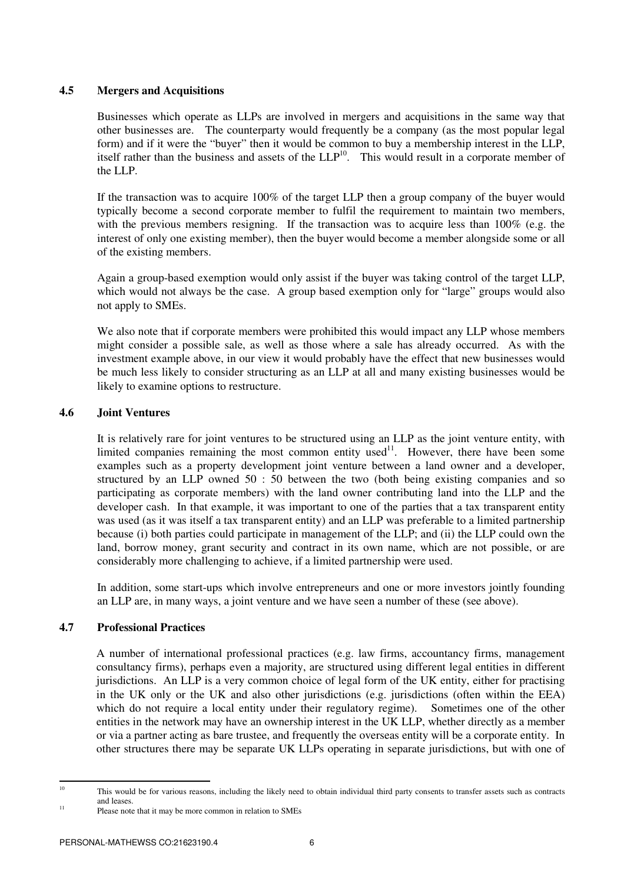### **4.5 Mergers and Acquisitions**

Businesses which operate as LLPs are involved in mergers and acquisitions in the same way that other businesses are. The counterparty would frequently be a company (as the most popular legal form) and if it were the "buyer" then it would be common to buy a membership interest in the LLP, itself rather than the business and assets of the  $LLP^{10}$ . This would result in a corporate member of the LLP.

If the transaction was to acquire 100% of the target LLP then a group company of the buyer would typically become a second corporate member to fulfil the requirement to maintain two members, with the previous members resigning. If the transaction was to acquire less than 100% (e.g. the interest of only one existing member), then the buyer would become a member alongside some or all of the existing members.

Again a group-based exemption would only assist if the buyer was taking control of the target LLP, which would not always be the case. A group based exemption only for "large" groups would also not apply to SMEs.

We also note that if corporate members were prohibited this would impact any LLP whose members might consider a possible sale, as well as those where a sale has already occurred. As with the investment example above, in our view it would probably have the effect that new businesses would be much less likely to consider structuring as an LLP at all and many existing businesses would be likely to examine options to restructure.

### **4.6 Joint Ventures**

It is relatively rare for joint ventures to be structured using an LLP as the joint venture entity, with limited companies remaining the most common entity used $1$ <sup>1</sup>. However, there have been some examples such as a property development joint venture between a land owner and a developer, structured by an LLP owned 50 : 50 between the two (both being existing companies and so participating as corporate members) with the land owner contributing land into the LLP and the developer cash. In that example, it was important to one of the parties that a tax transparent entity was used (as it was itself a tax transparent entity) and an LLP was preferable to a limited partnership because (i) both parties could participate in management of the LLP; and (ii) the LLP could own the land, borrow money, grant security and contract in its own name, which are not possible, or are considerably more challenging to achieve, if a limited partnership were used.

In addition, some start-ups which involve entrepreneurs and one or more investors jointly founding an LLP are, in many ways, a joint venture and we have seen a number of these (see above).

### **4.7 Professional Practices**

A number of international professional practices (e.g. law firms, accountancy firms, management consultancy firms), perhaps even a majority, are structured using different legal entities in different jurisdictions. An LLP is a very common choice of legal form of the UK entity, either for practising in the UK only or the UK and also other jurisdictions (e.g. jurisdictions (often within the EEA) which do not require a local entity under their regulatory regime). Sometimes one of the other entities in the network may have an ownership interest in the UK LLP, whether directly as a member or via a partner acting as bare trustee, and frequently the overseas entity will be a corporate entity. In other structures there may be separate UK LLPs operating in separate jurisdictions, but with one of

 $10$ 

<sup>10</sup> This would be for various reasons, including the likely need to obtain individual third party consents to transfer assets such as contracts and leases.

<sup>&</sup>lt;sup>11</sup> Please note that it may be more common in relation to SMEs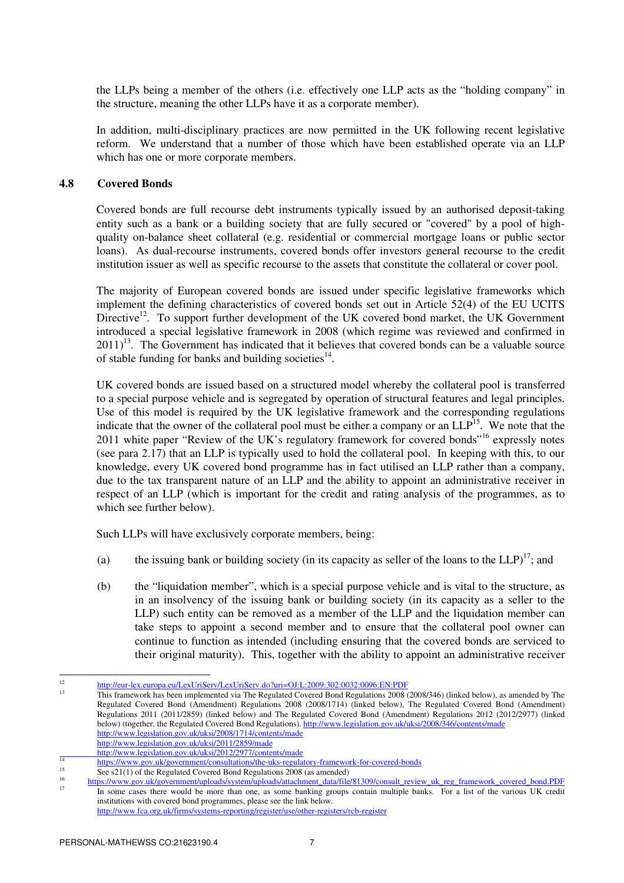the LLPs being a member of the others (i.e. effectively one LLP acts as the "holding company" in the structure, meaning the other LLPs have it as a corporate member).

In addition, multi-disciplinary practices are now permitted in the UK following recent legislative reform. We understand that a number of those which have been established operate via an LLP which has one or more corporate members.

#### **4.8 Covered Bonds**

Covered bonds are full recourse debt instruments typically issued by an authorised deposit-taking entity such as a bank or a building society that are fully secured or "covered" by a pool of highquality on-balance sheet collateral (e.g. residential or commercial mortgage loans or public sector loans). As dual-recourse instruments, covered bonds offer investors general recourse to the credit institution issuer as well as specific recourse to the assets that constitute the collateral or cover pool.

The majority of European covered bonds are issued under specific legislative frameworks which implement the defining characteristics of covered bonds set out in Article 52(4) of the EU UCITS Directive<sup>12</sup>. To support further development of the UK covered bond market, the UK Government introduced a special legislative framework in 2008 (which regime was reviewed and confirmed in  $2011$ <sup>13</sup>. The Government has indicated that it believes that covered bonds can be a valuable source of stable funding for banks and building societies $^{14}$ .

UK covered bonds are issued based on a structured model whereby the collateral pool is transferred to a special purpose vehicle and is segregated by operation of structural features and legal principles. Use of this model is required by the UK legislative framework and the corresponding regulations indicate that the owner of the collateral pool must be either a company or an  $LLP<sup>15</sup>$ . We note that the 2011 white paper "Review of the UK's regulatory framework for covered bonds"<sup>16</sup> expressly notes (see para 2.17) that an LLP is typically used to hold the collateral pool. In keeping with this, to our knowledge, every UK covered bond programme has in fact utilised an LLP rather than a company, due to the tax transparent nature of an LLP and the ability to appoint an administrative receiver in respect of an LLP (which is important for the credit and rating analysis of the programmes, as to which see further below).

Such LLPs will have exclusively corporate members, being:

- (a) the issuing bank or building society (in its capacity as seller of the loans to the  $LLP$ )<sup>17</sup>; and
- (b) the "liquidation member", which is a special purpose vehicle and is vital to the structure, as in an insolvency of the issuing bank or building society (in its capacity as a seller to the LLP) such entity can be removed as a member of the LLP and the liquidation member can take steps to appoint a second member and to ensure that the collateral pool owner can continue to function as intended (including ensuring that the covered bonds are serviced to their original maturity). This, together with the ability to appoint an administrative receiver

 $\frac{1}{12}$ http://eur-lex.europa.eu/LexUriServ/LexUriServ.do?uri=OJ:L:2009:302:0032:0096:EN:PDF

<sup>13</sup> This framework has been implemented via The Regulated Covered Bond Regulations 2008 (2008/346) (linked below), as amended by The Regulated Covered Bond (Amendment) Regulations 2008 (2008/1714) (linked below), The Regulated Covered Bond (Amendment) Regulations 2011 (2011/2859) (linked below) and The Regulated Covered Bond (Amendment) Regulations 2012 (2012/2977) (linked below) (together, the Regulated Covered Bond Regulations). http://www.legislation.gov.uk/uksi/2008/346/contents/made http://www.legislation.gov.uk/uksi/2008/1714/contents/made

http://www.legislation.gov.uk/uksi/2011/2859/made

http://www.legislation.gov.uk/uksi/2012/2977/contents/made

 $\overline{14}$ https://www.gov.uk/government/consultations/the-uks-regulatory-framework-for-covered-bonds<br>  $\frac{15}{2}$ 

 $\overline{\text{See } s21(1)}$  of the Regulated Covered Bond Regulations 2008 (as amended) 16

https://www.gov.uk/government/uploads/system/uploads/attachment\_data/file/81309/consult\_review\_uk\_reg\_framework\_covered\_bond.PDF<br>If the same second has manual has many than any second hashing against multiple hadden. For a In some cases there would be more than one, as some banking groups contain multiple banks. For a list of the various UK credit institutions with covered bond programmes, please see the link below.

http://www.fca.org.uk/firms/systems-reporting/register/use/other-registers/rcb-register